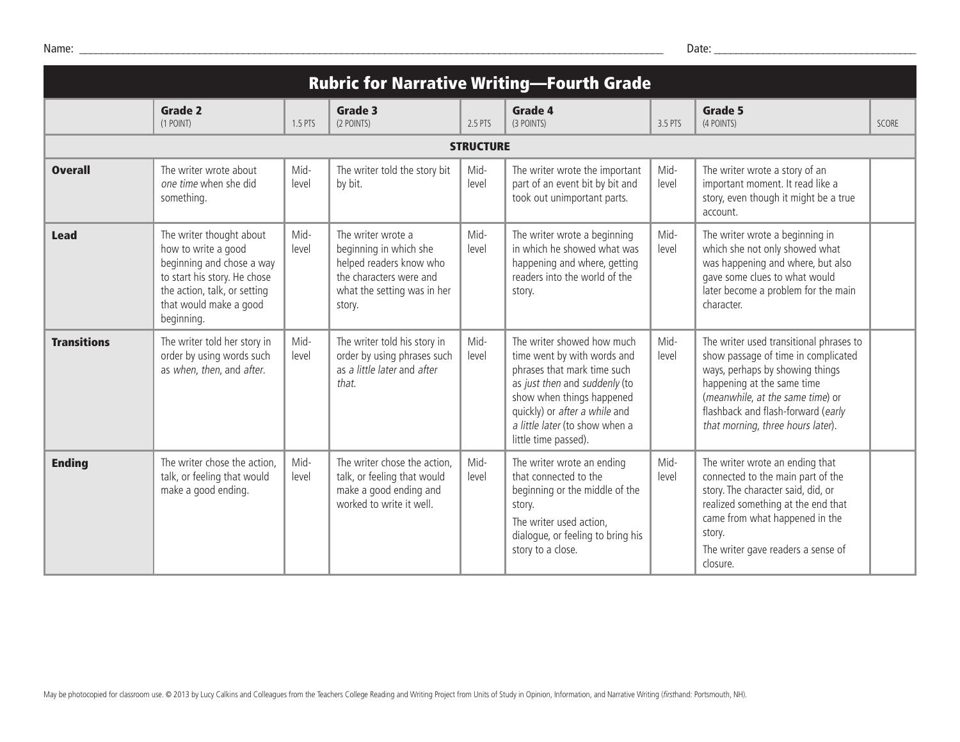| <b>Rubric for Narrative Writing-Fourth Grade</b> |                                                                                                                                                                                      |               |                                                                                                                                             |                  |                                                                                                                                                                                                                                                   |               |                                                                                                                                                                                                                                                                |              |
|--------------------------------------------------|--------------------------------------------------------------------------------------------------------------------------------------------------------------------------------------|---------------|---------------------------------------------------------------------------------------------------------------------------------------------|------------------|---------------------------------------------------------------------------------------------------------------------------------------------------------------------------------------------------------------------------------------------------|---------------|----------------------------------------------------------------------------------------------------------------------------------------------------------------------------------------------------------------------------------------------------------------|--------------|
|                                                  | <b>Grade 2</b><br>(1 POINT)                                                                                                                                                          | 1.5 PTS       | Grade 3<br>(2 POINTS)                                                                                                                       | 2.5 PTS          | Grade 4<br>(3 POINTS)                                                                                                                                                                                                                             | 3.5 PTS       | Grade 5<br>(4 POINTS)                                                                                                                                                                                                                                          | <b>SCORE</b> |
|                                                  |                                                                                                                                                                                      |               |                                                                                                                                             | <b>STRUCTURE</b> |                                                                                                                                                                                                                                                   |               |                                                                                                                                                                                                                                                                |              |
| <b>Overall</b>                                   | The writer wrote about<br>one time when she did<br>something.                                                                                                                        | Mid-<br>level | The writer told the story bit<br>by bit.                                                                                                    | Mid-<br>level    | The writer wrote the important<br>part of an event bit by bit and<br>took out unimportant parts.                                                                                                                                                  | Mid-<br>level | The writer wrote a story of an<br>important moment. It read like a<br>story, even though it might be a true<br>account.                                                                                                                                        |              |
| <b>Lead</b>                                      | The writer thought about<br>how to write a good<br>beginning and chose a way<br>to start his story. He chose<br>the action, talk, or setting<br>that would make a good<br>beginning. | Mid-<br>level | The writer wrote a<br>beginning in which she<br>helped readers know who<br>the characters were and<br>what the setting was in her<br>story. | Mid-<br>level    | The writer wrote a beginning<br>in which he showed what was<br>happening and where, getting<br>readers into the world of the<br>story.                                                                                                            | Mid-<br>level | The writer wrote a beginning in<br>which she not only showed what<br>was happening and where, but also<br>gave some clues to what would<br>later become a problem for the main<br>character.                                                                   |              |
| <b>Transitions</b>                               | The writer told her story in<br>order by using words such<br>as when, then, and after.                                                                                               | Mid-<br>level | The writer told his story in<br>order by using phrases such<br>as a little later and after<br>that.                                         | Mid-<br>level    | The writer showed how much<br>time went by with words and<br>phrases that mark time such<br>as just then and suddenly (to<br>show when things happened<br>quickly) or after a while and<br>a little later (to show when a<br>little time passed). | Mid-<br>level | The writer used transitional phrases to<br>show passage of time in complicated<br>ways, perhaps by showing things<br>happening at the same time<br>(meanwhile, at the same time) or<br>flashback and flash-forward (early<br>that morning, three hours later). |              |
| <b>Ending</b>                                    | The writer chose the action,<br>talk, or feeling that would<br>make a good ending.                                                                                                   | Mid-<br>level | The writer chose the action,<br>talk, or feeling that would<br>make a good ending and<br>worked to write it well.                           | Mid-<br>level    | The writer wrote an ending<br>that connected to the<br>beginning or the middle of the<br>story.<br>The writer used action,<br>dialogue, or feeling to bring his<br>story to a close.                                                              | Mid-<br>level | The writer wrote an ending that<br>connected to the main part of the<br>story. The character said, did, or<br>realized something at the end that<br>came from what happened in the<br>story.<br>The writer gave readers a sense of<br>closure.                 |              |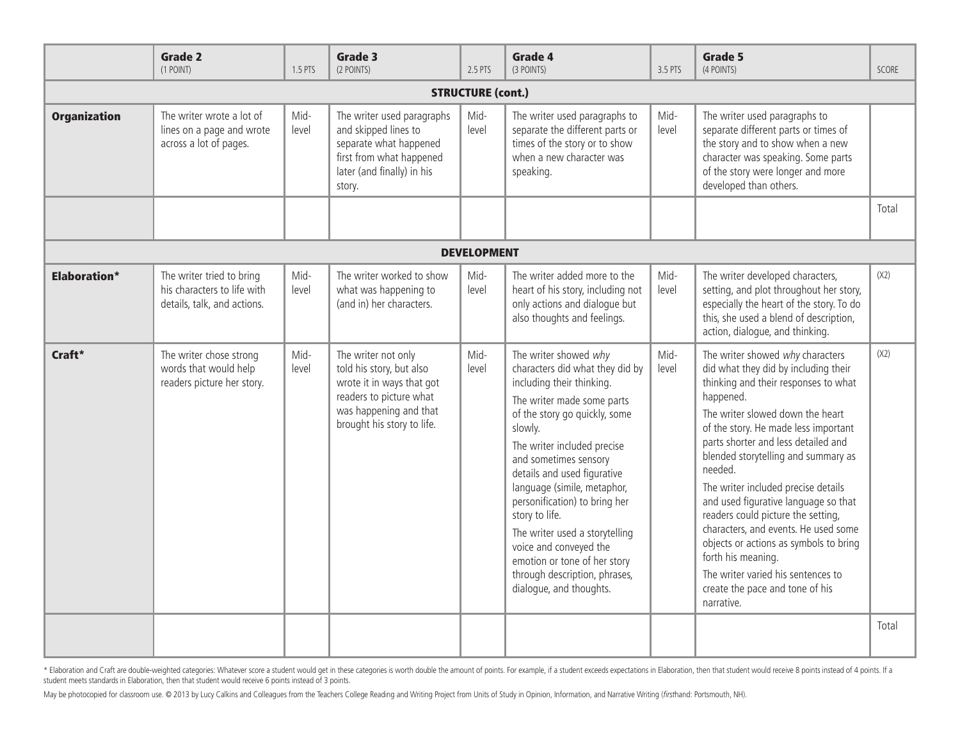|                          | <b>Grade 2</b><br>(1 POINT)                                                             | 1.5 PTS       | Grade 3<br>(2 POINTS)                                                                                                                                           | 2.5 PTS       | Grade 4<br>(3 POINTS)                                                                                                                                                                                                                                                                                                                                                                                                                                                                            | 3.5 PTS       | Grade 5<br>(4 POINTS)                                                                                                                                                                                                                                                                                                                                                                                                                                                                                                                                                                                                  | SCORE |
|--------------------------|-----------------------------------------------------------------------------------------|---------------|-----------------------------------------------------------------------------------------------------------------------------------------------------------------|---------------|--------------------------------------------------------------------------------------------------------------------------------------------------------------------------------------------------------------------------------------------------------------------------------------------------------------------------------------------------------------------------------------------------------------------------------------------------------------------------------------------------|---------------|------------------------------------------------------------------------------------------------------------------------------------------------------------------------------------------------------------------------------------------------------------------------------------------------------------------------------------------------------------------------------------------------------------------------------------------------------------------------------------------------------------------------------------------------------------------------------------------------------------------------|-------|
| <b>STRUCTURE (cont.)</b> |                                                                                         |               |                                                                                                                                                                 |               |                                                                                                                                                                                                                                                                                                                                                                                                                                                                                                  |               |                                                                                                                                                                                                                                                                                                                                                                                                                                                                                                                                                                                                                        |       |
| <b>Organization</b>      | The writer wrote a lot of<br>lines on a page and wrote<br>across a lot of pages.        | Mid-<br>level | The writer used paragraphs<br>and skipped lines to<br>separate what happened<br>first from what happened<br>later (and finally) in his<br>story.                | Mid-<br>level | The writer used paragraphs to<br>separate the different parts or<br>times of the story or to show<br>when a new character was<br>speaking.                                                                                                                                                                                                                                                                                                                                                       | Mid-<br>level | The writer used paragraphs to<br>separate different parts or times of<br>the story and to show when a new<br>character was speaking. Some parts<br>of the story were longer and more<br>developed than others.                                                                                                                                                                                                                                                                                                                                                                                                         |       |
|                          |                                                                                         |               |                                                                                                                                                                 |               |                                                                                                                                                                                                                                                                                                                                                                                                                                                                                                  |               |                                                                                                                                                                                                                                                                                                                                                                                                                                                                                                                                                                                                                        | Total |
| <b>DEVELOPMENT</b>       |                                                                                         |               |                                                                                                                                                                 |               |                                                                                                                                                                                                                                                                                                                                                                                                                                                                                                  |               |                                                                                                                                                                                                                                                                                                                                                                                                                                                                                                                                                                                                                        |       |
| <b>Elaboration*</b>      | The writer tried to bring<br>his characters to life with<br>details, talk, and actions. | Mid-<br>level | The writer worked to show<br>what was happening to<br>(and in) her characters.                                                                                  | Mid-<br>level | The writer added more to the<br>heart of his story, including not<br>only actions and dialogue but<br>also thoughts and feelings.                                                                                                                                                                                                                                                                                                                                                                | Mid-<br>level | The writer developed characters,<br>setting, and plot throughout her story,<br>especially the heart of the story. To do<br>this, she used a blend of description,<br>action, dialogue, and thinking.                                                                                                                                                                                                                                                                                                                                                                                                                   | (X2)  |
| Craft*                   | The writer chose strong<br>words that would help<br>readers picture her story.          | Mid-<br>level | The writer not only<br>told his story, but also<br>wrote it in ways that got<br>readers to picture what<br>was happening and that<br>brought his story to life. | Mid-<br>level | The writer showed why<br>characters did what they did by<br>including their thinking.<br>The writer made some parts<br>of the story go quickly, some<br>slowly.<br>The writer included precise<br>and sometimes sensory<br>details and used figurative<br>language (simile, metaphor,<br>personification) to bring her<br>story to life.<br>The writer used a storytelling<br>voice and conveyed the<br>emotion or tone of her story<br>through description, phrases,<br>dialogue, and thoughts. | Mid-<br>level | The writer showed why characters<br>did what they did by including their<br>thinking and their responses to what<br>happened.<br>The writer slowed down the heart<br>of the story. He made less important<br>parts shorter and less detailed and<br>blended storytelling and summary as<br>needed.<br>The writer included precise details<br>and used figurative language so that<br>readers could picture the setting,<br>characters, and events. He used some<br>objects or actions as symbols to bring<br>forth his meaning.<br>The writer varied his sentences to<br>create the pace and tone of his<br>narrative. | (X2)  |
|                          |                                                                                         |               |                                                                                                                                                                 |               |                                                                                                                                                                                                                                                                                                                                                                                                                                                                                                  |               |                                                                                                                                                                                                                                                                                                                                                                                                                                                                                                                                                                                                                        | Total |

\* Elaboration and Craft are double-weighted categories: Whatever score a student would get in these categories is worth double the amount of points. For example, if a student exceeds expectations in Elaboration, then that student meets standards in Elaboration, then that student would receive 6 points instead of 3 points.

May be photocopied for classroom use. @ 2013 by Lucy Calkins and Colleagues from the Teachers College Reading and Writing Project from Units of Study in Opinion, Information, and Narrative Writing (firsthand: Portsmouth, N